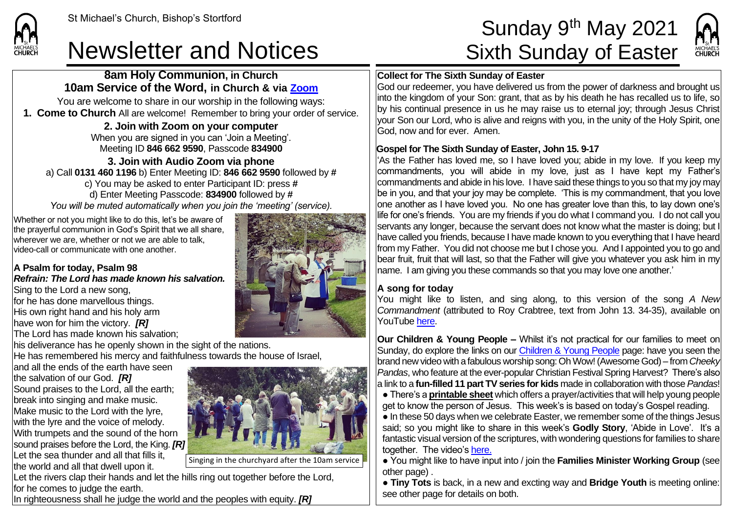## Newsletter and Notices Sixth Sunday of Easter

**8am Holy Communion, in Church 10am Service of the Word, in Church & via [Zoom](https://zoom.us/)** You are welcome to share in our worship in the following ways: **1. Come to Church** All are welcome! Remember to bring your order of service. **2. Join with Zoom on your computer** When you are signed in you can 'Join a Meeting'. Meeting ID **846 662 9590**, Passcode **834900 3. Join with Audio Zoom via phone**  a) Call **0131 460 1196** b) Enter Meeting ID: **846 662 9590** followed by **#** c) You may be asked to enter Participant ID: press **#** d) Enter Meeting Passcode: **834900** followed by **#** *You will be muted automatically when you join the 'meeting' (service).*

Whether or not you might like to do this, let's be aware of the prayerful communion in God's Spirit that we all share, wherever we are, whether or not we are able to talk, video-call or communicate with one another.

#### **A Psalm for today, Psalm 98** *Refrain: The Lord has made known his salvation.*

Sing to the Lord a new song, for he has done marvellous things. His own right hand and his holy arm have won for him the victory. *[R]* The Lord has made known his salvation;

**CHI IRCH** 

his deliverance has he openly shown in the sight of the nations. He has remembered his mercy and faithfulness towards the house of Israel,

and all the ends of the earth have seen the salvation of our God. *[R]* Sound praises to the Lord, all the earth; break into singing and make music. Make music to the Lord with the lyre, with the lyre and the voice of melody. With trumpets and the sound of the horn sound praises before the Lord, the King. *[R]* Let the sea thunder and all that fills it, the world and all that dwell upon it.



Singing in the churchyard after the 10am service

Let the rivers clap their hands and let the hills ring out together before the Lord, for he comes to judge the earth.

In righteousness shall he judge the world and the peoples with equity. *[R]*



# St Michael's Church, Bishop's Stortford  $\mathsf{Sunday}\ 9^\mathsf{th}\ \mathsf{May}\ 2021$



#### **Collect for The Sixth Sunday of Easter**

God our redeemer, you have delivered us from the power of darkness and brought us into the kingdom of your Son: grant, that as by his death he has recalled us to life, so by his continual presence in us he may raise us to eternal joy; through Jesus Christ your Son our Lord, who is alive and reigns with you, in the unity of the Holy Spirit, one God, now and for ever. Amen.

#### **Gospel for The Sixth Sunday of Easter, John 15. 9-17**

'As the Father has loved me, so I have loved you; abide in my love. If you keep my commandments, you will abide in my love, just as I have kept my Father's commandments and abide in his love. I have said these things to you so that my joy may be in you, and that your joy may be complete. 'This is my commandment, that you love  $\overline{\phantom{\textrm{long}}\phantom{\textrm{long}}\textrm{long}}$  another as I have loved you. No one has greater love than this, to lay down one's life for one's friends. You are my friends if you do what I command you. I do not call you servants any longer, because the servant does not know what the master is doing; but I have called you friends, because I have made known to you everything that I have heard from my Father. You did not choose me but I chose you. And I appointed you to go and bear fruit, fruit that will last, so that the Father will give you whatever you ask him in my name. I am giving you these commands so that you may love one another.'

#### **A song for today**

You might like to listen, and sing along, to this version of the song *A New Commandment* (attributed to Roy Crabtree, text from John 13. 34-35), available on YouTub[e here.](https://www.youtube.com/watch?v=2X8m9tVR0_Y)

**Our Children & Young People –** Whilst it's not practical for our families to meet on Sunday, do explore the links on our [Children & Young People](https://saintmichaelweb.org.uk/Groups/310496/Children_and_Young.aspx) page: have you seen the brand new video with a fabulous worship song: Oh Wow! (Awesome God) – from *Cheeky Pandas*, who feature at the ever-popular Christian Festival Spring Harvest? There's also a link to a **fun-filled 11 part TV series for kids** made in collaboration with those *Pandas*!

● There's a **[printable sheet](https://saintmichaelweb.org.uk/Groups/310496/Children_and_Young.aspx)** which offers a prayer/activities that will help young people get to know the person of Jesus. This week's is based on today's Gospel reading.

● In these 50 days when we celebrate Easter, we remember some of the things Jesus said; so you might like to share in this week's **Godly Story**, 'Abide in Love'. It's a fantastic visual version of the scriptures, with wondering questions for families to share together. The video's [here.](https://www.youtube.com/watch?v=oFCzX6i2b30)

● You might like to have input into / join the **Families Minister Working Group** (see other page) .

● **Tiny Tots** is back, in a new and excting way and **Bridge Youth** is meeting online: see other page for details on both.